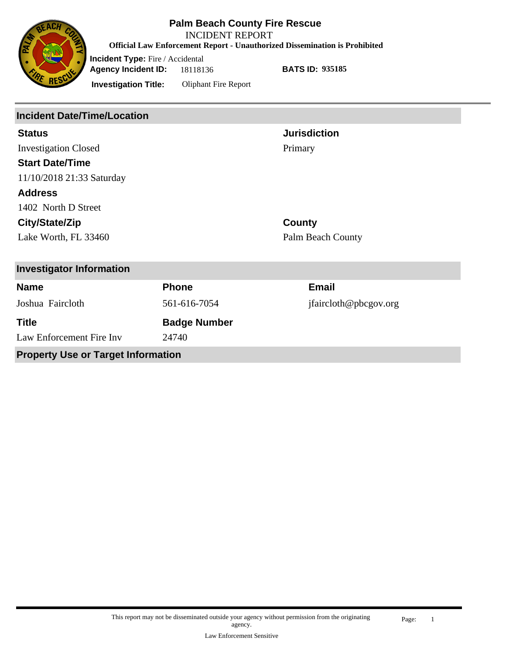

**Official Law Enforcement Report - Unauthorized Dissemination is Prohibited**

**Incident Type:** Fire / Accidental **Agency Incident ID:** 18118136

**BATS ID: 935185**

**Investigation Title:** Oliphant Fire Report

| <b>Incident Date/Time/Location</b> |                     |                       |  |  |
|------------------------------------|---------------------|-----------------------|--|--|
| <b>Status</b>                      |                     | <b>Jurisdiction</b>   |  |  |
| <b>Investigation Closed</b>        |                     | Primary               |  |  |
| <b>Start Date/Time</b>             |                     |                       |  |  |
| 11/10/2018 21:33 Saturday          |                     |                       |  |  |
| <b>Address</b>                     |                     |                       |  |  |
| 1402 North D Street                |                     |                       |  |  |
| City/State/Zip                     |                     | County                |  |  |
| Lake Worth, FL 33460               |                     | Palm Beach County     |  |  |
|                                    |                     |                       |  |  |
| <b>Investigator Information</b>    |                     |                       |  |  |
| <b>Name</b>                        | <b>Phone</b>        | <b>Email</b>          |  |  |
| Joshua Faircloth                   | 561-616-7054        | jfaircloth@pbcgov.org |  |  |
| <b>Title</b>                       | <b>Badge Number</b> |                       |  |  |
| Law Enforcement Fire Inv           | 24740               |                       |  |  |

**Property Use or Target Information**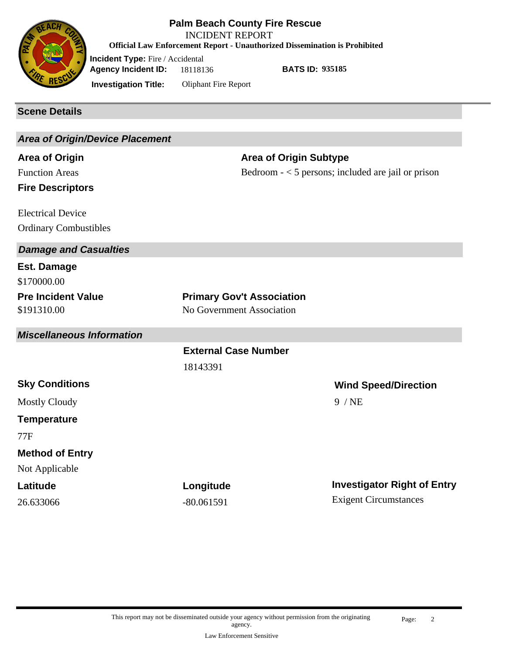

**Official Law Enforcement Report - Unauthorized Dissemination is Prohibited**

**BATS ID: 935185**

**Agency Incident ID:** 18118136

**Incident Type:** Fire / Accidental

**Investigation Title:** Oliphant Fire Report

### **Scene Details**

| <b>Area of Origin/Device Placement</b> |                                                      |                                    |
|----------------------------------------|------------------------------------------------------|------------------------------------|
| <b>Area of Origin</b>                  | <b>Area of Origin Subtype</b>                        |                                    |
| <b>Function Areas</b>                  | Bedroom $-$ < 5 persons; included are jail or prison |                                    |
| <b>Fire Descriptors</b>                |                                                      |                                    |
| <b>Electrical Device</b>               |                                                      |                                    |
| <b>Ordinary Combustibles</b>           |                                                      |                                    |
| <b>Damage and Casualties</b>           |                                                      |                                    |
| Est. Damage                            |                                                      |                                    |
| \$170000.00                            |                                                      |                                    |
| <b>Pre Incident Value</b>              | <b>Primary Gov't Association</b>                     |                                    |
| \$191310.00                            | No Government Association                            |                                    |
| <b>Miscellaneous Information</b>       |                                                      |                                    |
|                                        | <b>External Case Number</b>                          |                                    |
|                                        | 18143391                                             |                                    |
| <b>Sky Conditions</b>                  |                                                      | <b>Wind Speed/Direction</b>        |
| <b>Mostly Cloudy</b>                   |                                                      | 9 / NE                             |
| <b>Temperature</b>                     |                                                      |                                    |
| 77F                                    |                                                      |                                    |
| <b>Method of Entry</b>                 |                                                      |                                    |
| Not Applicable                         |                                                      |                                    |
| Latitude                               | Longitude                                            | <b>Investigator Right of Entry</b> |
| 26.633066                              | $-80.061591$                                         | <b>Exigent Circumstances</b>       |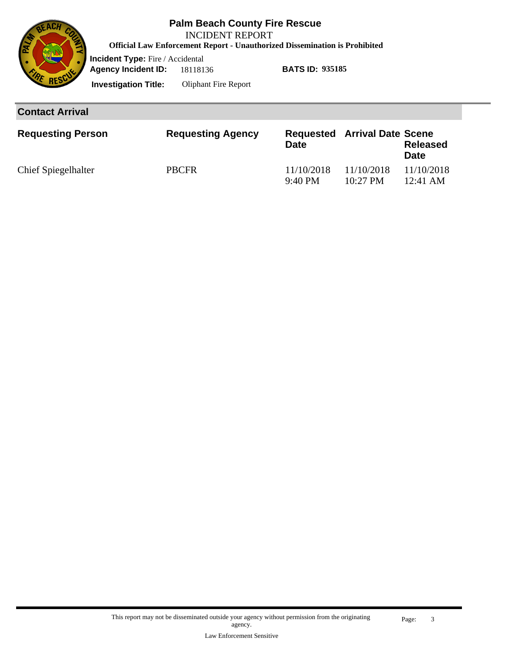

**Official Law Enforcement Report - Unauthorized Dissemination is Prohibited**

**Incident Type:** Fire / Accidental **Agency Incident ID:** 18118136

**BATS ID: 935185**

**Investigation Title:** Oliphant Fire Report

#### **Contact Arrival**

| <b>Requesting Person</b>   | <b>Requesting Agency</b> | <b>Date</b>                     | <b>Requested Arrival Date Scene</b> | <b>Released</b><br><b>Date</b> |
|----------------------------|--------------------------|---------------------------------|-------------------------------------|--------------------------------|
| <b>Chief Spiegelhalter</b> | <b>PBCFR</b>             | 11/10/2018<br>$9:40 \text{ PM}$ | 11/10/2018<br>$10:27$ PM            | 11/10/2018<br>$12:41$ AM       |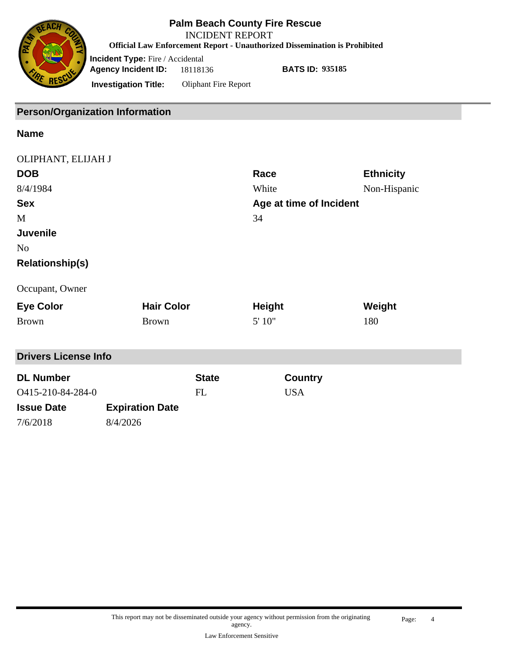

**Official Law Enforcement Report - Unauthorized Dissemination is Prohibited**

**Incident Type:** Fire / Accidental **Agency Incident ID:** 18118136

**BATS ID: 935185**

**Investigation Title:** Oliphant Fire Report

**Person/Organization Information**

#### **Name**

| OLIPHANT, ELIJAH J          |                        |              |                         |                |                  |
|-----------------------------|------------------------|--------------|-------------------------|----------------|------------------|
| <b>DOB</b>                  |                        |              | Race                    |                | <b>Ethnicity</b> |
| 8/4/1984                    |                        |              | White                   |                | Non-Hispanic     |
| <b>Sex</b>                  |                        |              | Age at time of Incident |                |                  |
| M                           |                        |              | 34                      |                |                  |
| <b>Juvenile</b>             |                        |              |                         |                |                  |
| N <sub>o</sub>              |                        |              |                         |                |                  |
| <b>Relationship(s)</b>      |                        |              |                         |                |                  |
| Occupant, Owner             |                        |              |                         |                |                  |
| <b>Eye Color</b>            | <b>Hair Color</b>      |              | <b>Height</b>           |                | Weight           |
| <b>Brown</b>                | <b>Brown</b>           |              | 5' 10"                  |                | 180              |
| <b>Drivers License Info</b> |                        |              |                         |                |                  |
| <b>DL Number</b>            |                        | <b>State</b> |                         | <b>Country</b> |                  |
| O415-210-84-284-0           |                        | FL           |                         | <b>USA</b>     |                  |
| <b>Issue Date</b>           | <b>Expiration Date</b> |              |                         |                |                  |
| 7/6/2018                    | 8/4/2026               |              |                         |                |                  |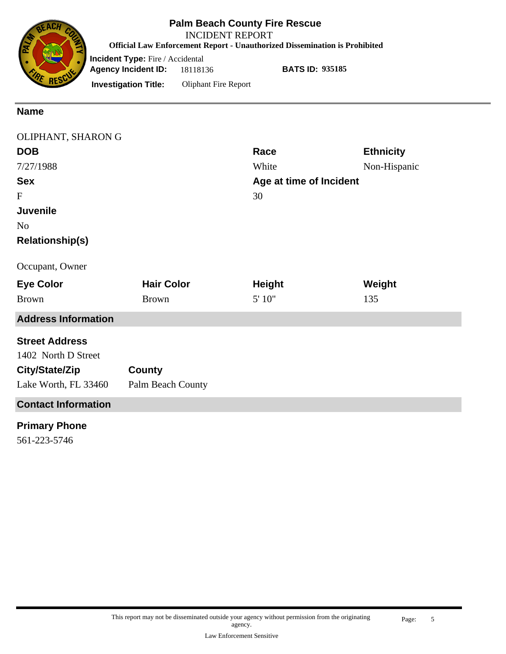

**Official Law Enforcement Report - Unauthorized Dissemination is Prohibited**

**Incident Type:** Fire / Accidental **Agency Incident ID:** 18118136

**BATS ID: 935185**

**Investigation Title:** Oliphant Fire Report

#### **Name**

| OLIPHANT, SHARON G         |                   |               |                         |  |  |
|----------------------------|-------------------|---------------|-------------------------|--|--|
| <b>DOB</b>                 |                   | Race          | <b>Ethnicity</b>        |  |  |
| 7/27/1988                  |                   | White         | Non-Hispanic            |  |  |
| <b>Sex</b>                 |                   |               | Age at time of Incident |  |  |
| $\mathbf F$                |                   | 30            |                         |  |  |
| <b>Juvenile</b>            |                   |               |                         |  |  |
| N <sub>o</sub>             |                   |               |                         |  |  |
| <b>Relationship(s)</b>     |                   |               |                         |  |  |
| Occupant, Owner            |                   |               |                         |  |  |
| <b>Eye Color</b>           | <b>Hair Color</b> | <b>Height</b> | Weight                  |  |  |
| <b>Brown</b>               | <b>Brown</b>      | 5' 10"        | 135                     |  |  |
| <b>Address Information</b> |                   |               |                         |  |  |
| <b>Street Address</b>      |                   |               |                         |  |  |
| 1402 North D Street        |                   |               |                         |  |  |
| City/State/Zip             | County            |               |                         |  |  |
| Lake Worth, FL 33460       | Palm Beach County |               |                         |  |  |
| <b>Contact Information</b> |                   |               |                         |  |  |
|                            |                   |               |                         |  |  |

#### **Primary Phone**

561-223-5746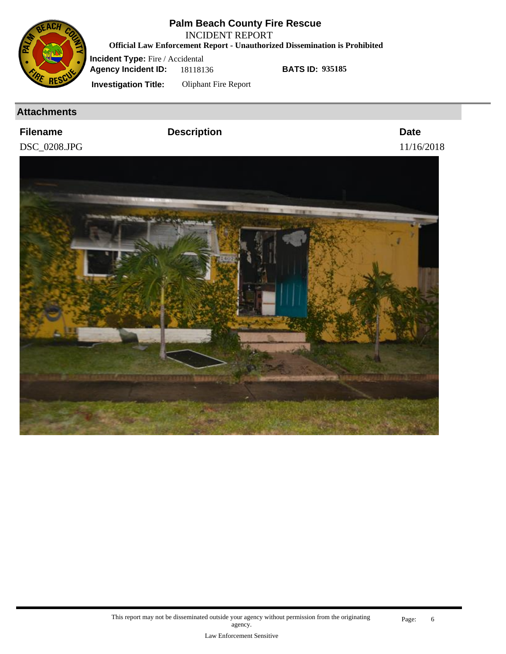

**Official Law Enforcement Report - Unauthorized Dissemination is Prohibited**

**Incident Type:** Fire / Accidental **Agency Incident ID:** 18118136

**BATS ID: 935185**

**Investigation Title:** Oliphant Fire Report

#### **Attachments**

**Filename Description Date**

DSC\_0208.JPG 11/16/2018

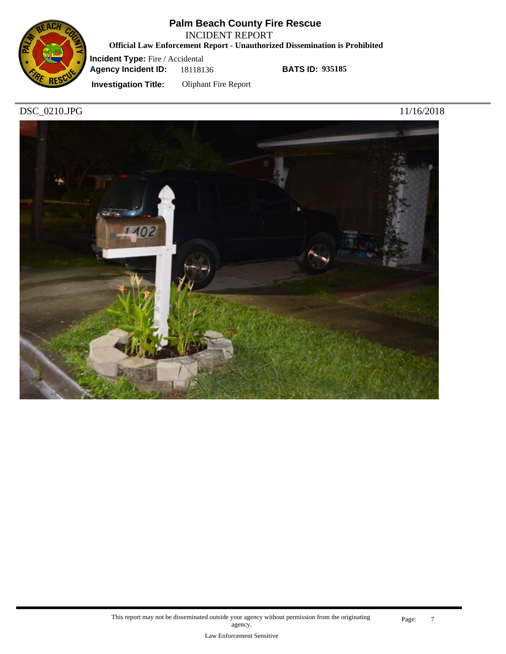

INCIDENT REPORT

**Official Law Enforcement Report - Unauthorized Dissemination is Prohibited**

**Incident Type:** Fire / Accidental **Agency Incident ID:** 18118136

**BATS ID: 935185**

**Investigation Title:** Oliphant Fire Report

DSC\_0210.JPG 11/16/2018

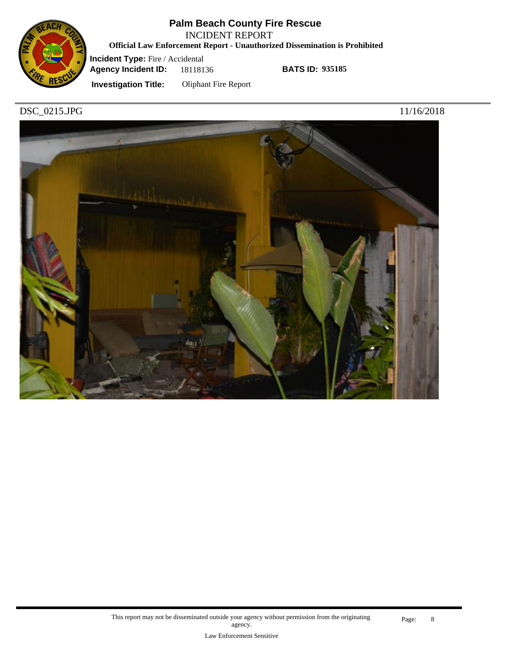

INCIDENT REPORT

**Official Law Enforcement Report - Unauthorized Dissemination is Prohibited**

**Incident Type:** Fire / Accidental **Agency Incident ID:** 18118136

**BATS ID: 935185**

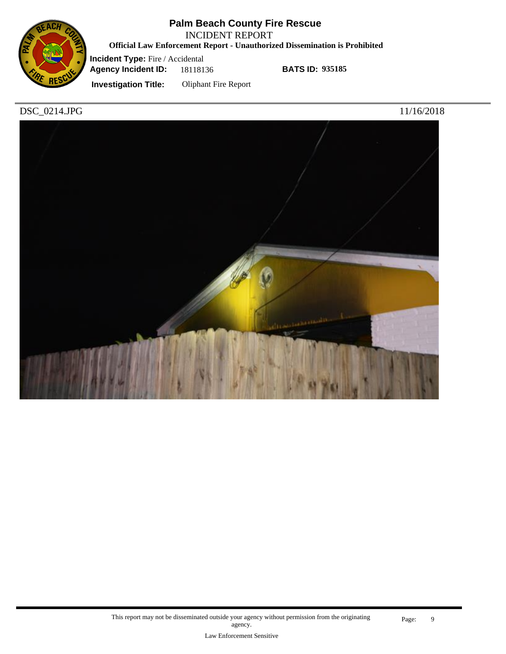

INCIDENT REPORT

**Official Law Enforcement Report - Unauthorized Dissemination is Prohibited**

**Incident Type:** Fire / Accidental **Agency Incident ID:** 18118136

**BATS ID: 935185**

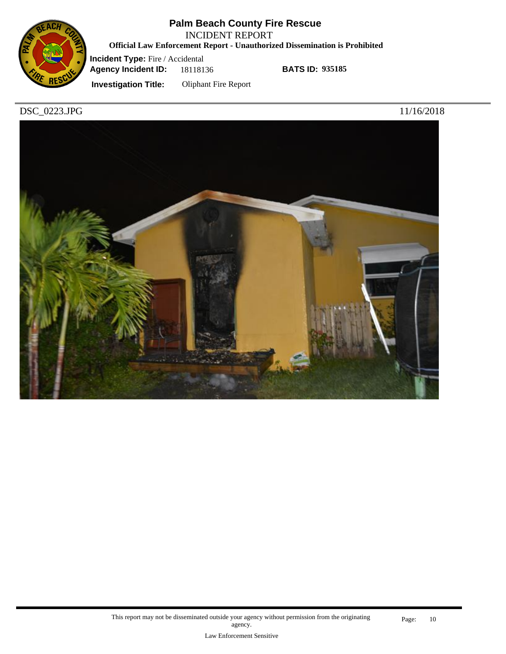

INCIDENT REPORT

**Official Law Enforcement Report - Unauthorized Dissemination is Prohibited**

**Incident Type:** Fire / Accidental **Agency Incident ID:** 18118136

**BATS ID: 935185**

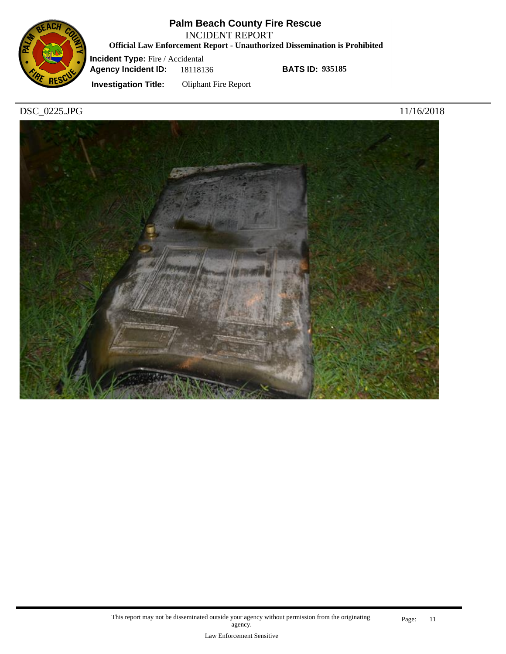

INCIDENT REPORT

**Official Law Enforcement Report - Unauthorized Dissemination is Prohibited**

**Incident Type:** Fire / Accidental **Agency Incident ID:** 18118136

**BATS ID: 935185**

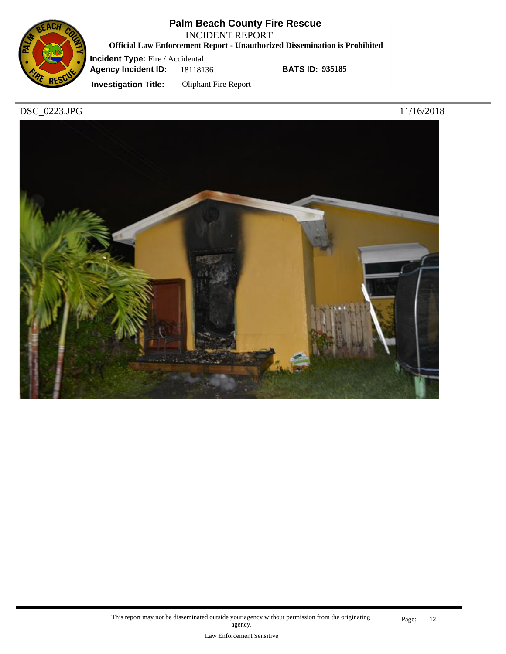

INCIDENT REPORT

**Official Law Enforcement Report - Unauthorized Dissemination is Prohibited**

**Incident Type:** Fire / Accidental **Agency Incident ID:** 18118136

**BATS ID: 935185**

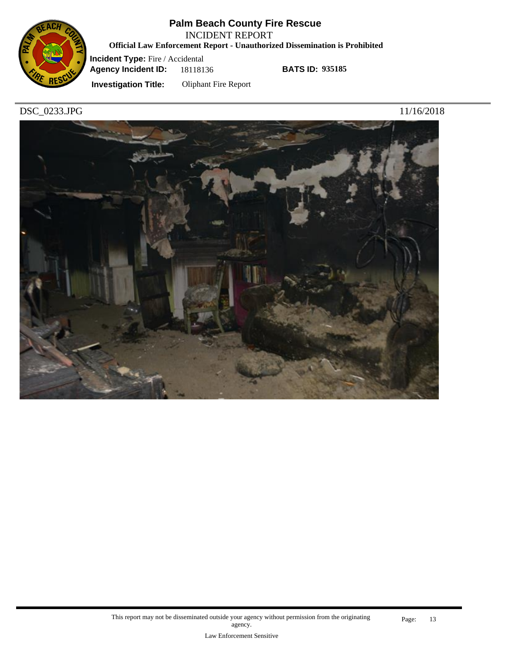

INCIDENT REPORT

**Official Law Enforcement Report - Unauthorized Dissemination is Prohibited**

**Incident Type:** Fire / Accidental **Agency Incident ID:** 18118136

**BATS ID: 935185**

**Investigation Title:** Oliphant Fire Report

DSC\_0233.JPG 11/16/2018

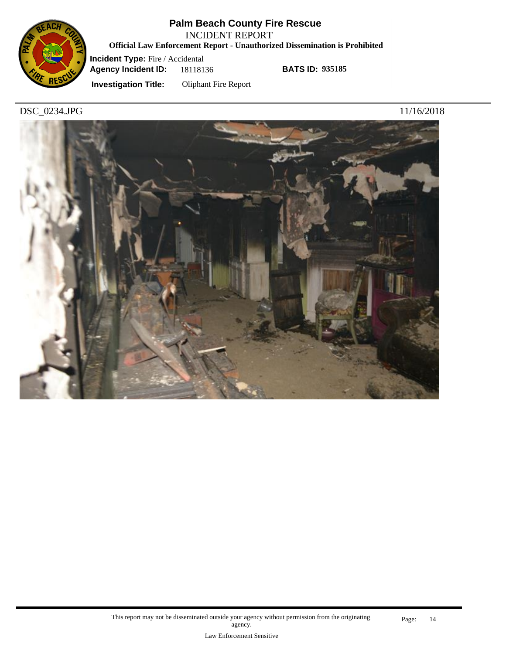

INCIDENT REPORT

**Official Law Enforcement Report - Unauthorized Dissemination is Prohibited**

**Incident Type:** Fire / Accidental **Agency Incident ID:** 18118136

**BATS ID: 935185**

**Investigation Title:** Oliphant Fire Report

DSC\_0234.JPG 11/16/2018

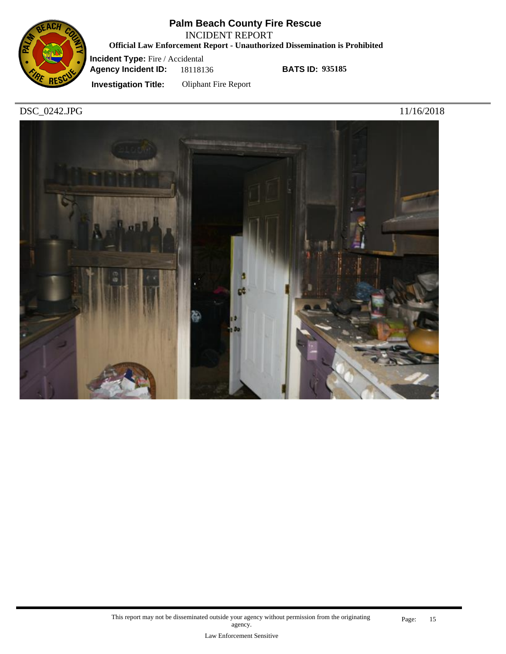

INCIDENT REPORT

**Official Law Enforcement Report - Unauthorized Dissemination is Prohibited**

**Incident Type:** Fire / Accidental **Agency Incident ID:** 18118136

**BATS ID: 935185**

**Investigation Title:** Oliphant Fire Report

DSC\_0242.JPG 11/16/2018

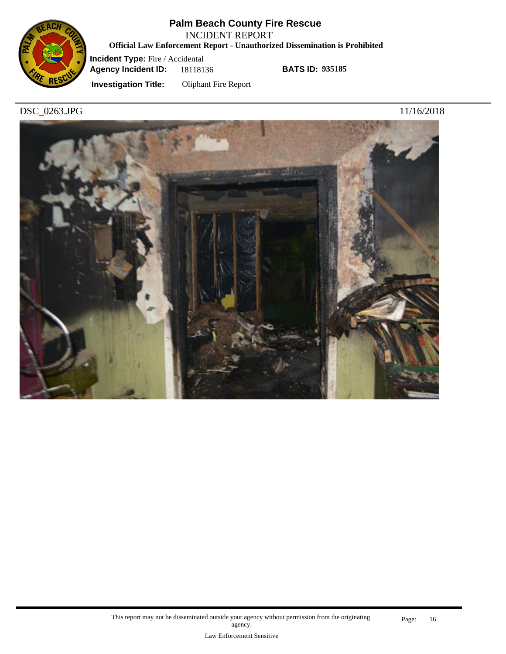

INCIDENT REPORT

**Official Law Enforcement Report - Unauthorized Dissemination is Prohibited**

**Incident Type:** Fire / Accidental **Agency Incident ID:** 18118136

**BATS ID: 935185**

**Investigation Title:** Oliphant Fire Report

DSC\_0263.JPG 11/16/2018

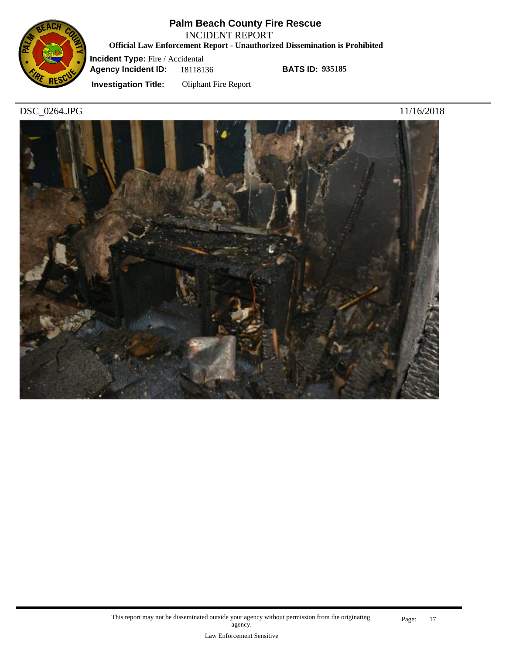

INCIDENT REPORT

**Official Law Enforcement Report - Unauthorized Dissemination is Prohibited**

**Incident Type:** Fire / Accidental **Agency Incident ID:** 18118136

**BATS ID: 935185**

**Investigation Title:** Oliphant Fire Report

DSC\_0264.JPG 11/16/2018

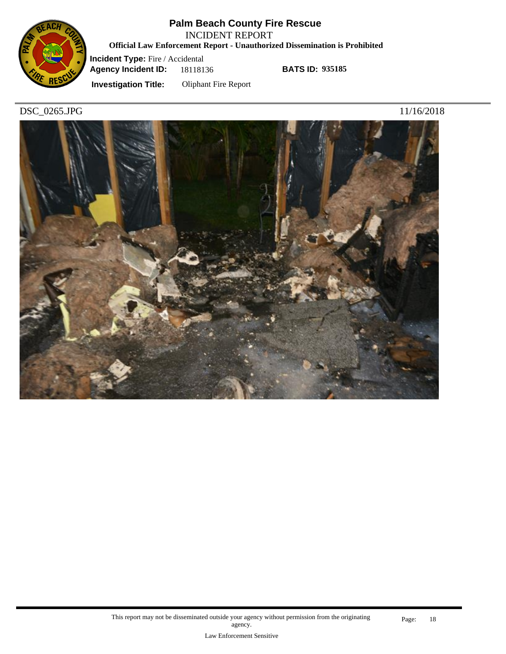

INCIDENT REPORT

**Official Law Enforcement Report - Unauthorized Dissemination is Prohibited**

**Incident Type:** Fire / Accidental **Agency Incident ID:** 18118136

**BATS ID: 935185**

**Investigation Title:** Oliphant Fire Report

DSC\_0265.JPG 11/16/2018

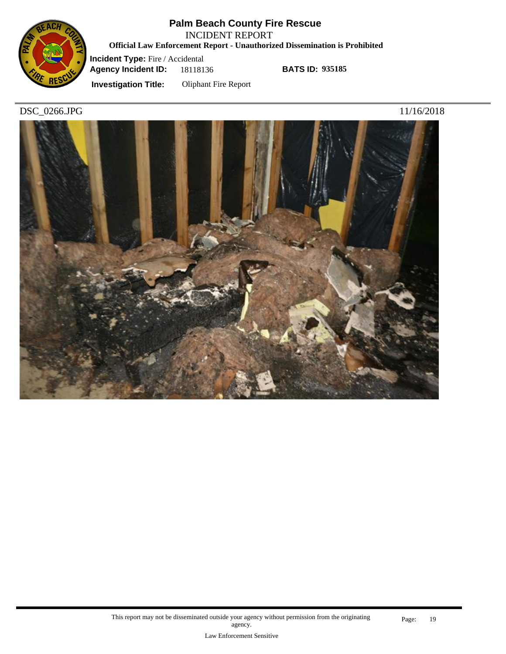

INCIDENT REPORT

**Official Law Enforcement Report - Unauthorized Dissemination is Prohibited**

**Incident Type:** Fire / Accidental **Agency Incident ID:** 18118136

**BATS ID: 935185**

**Investigation Title:** Oliphant Fire Report

DSC\_0266.JPG 11/16/2018

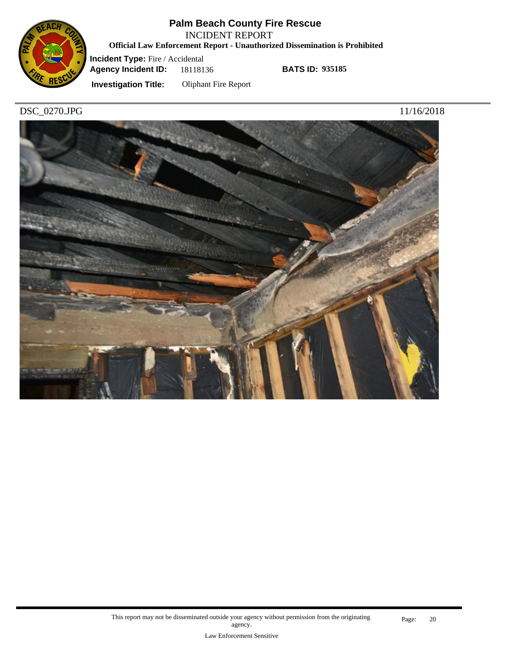

INCIDENT REPORT

**Official Law Enforcement Report - Unauthorized Dissemination is Prohibited**

**Incident Type:** Fire / Accidental **Agency Incident ID:** 18118136

**BATS ID: 935185**

**Investigation Title:** Oliphant Fire Report

DSC\_0270.JPG 11/16/2018

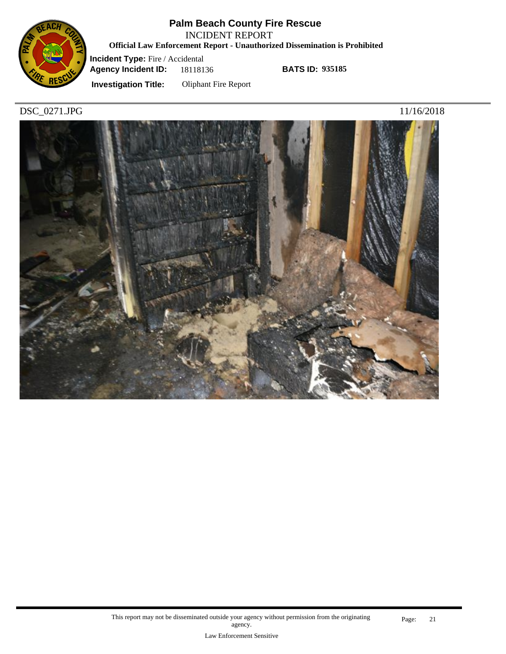

INCIDENT REPORT

**Official Law Enforcement Report - Unauthorized Dissemination is Prohibited**

**Incident Type:** Fire / Accidental **Agency Incident ID:** 18118136

**BATS ID: 935185**

**Investigation Title:** Oliphant Fire Report

DSC\_0271.JPG 11/16/2018

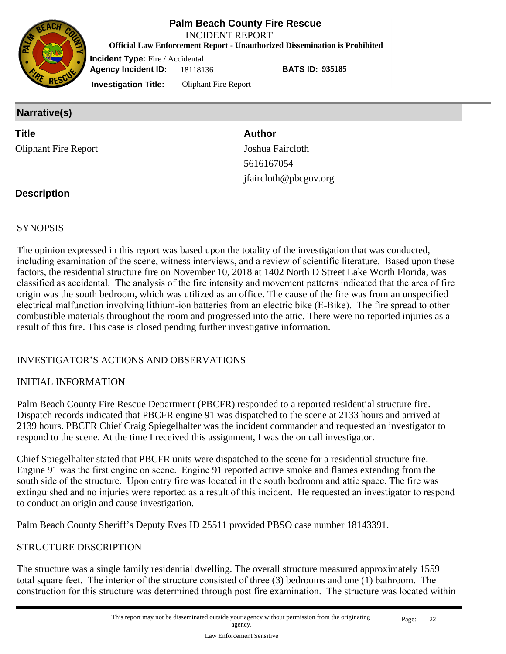

**Official Law Enforcement Report - Unauthorized Dissemination is Prohibited**

**Incident Type:** Fire / Accidental **Agency Incident ID:** 18118136

**BATS ID: 935185**

**Investigation Title:** Oliphant Fire Report

### **Narrative(s)**

**Title Author** Oliphant Fire Report Joshua Faircloth

5616167054 [jfaircloth@pbcgov.org](mailto:jfaircloth@pbcgov.org)

### **Description**

### **SYNOPSIS**

The opinion expressed in this report was based upon the totality of the investigation that was conducted, including examination of the scene, witness interviews, and a review of scientific literature. Based upon these factors, the residential structure fire on November 10, 2018 at 1402 North D Street Lake Worth Florida, was classified as accidental. The analysis of the fire intensity and movement patterns indicated that the area of fire origin was the south bedroom, which was utilized as an office. The cause of the fire was from an unspecified electrical malfunction involving lithium-ion batteries from an electric bike (E-Bike). The fire spread to other combustible materials throughout the room and progressed into the attic. There were no reported injuries as a result of this fire. This case is closed pending further investigative information.

### INVESTIGATOR'S ACTIONS AND OBSERVATIONS

### INITIAL INFORMATION

Palm Beach County Fire Rescue Department (PBCFR) responded to a reported residential structure fire. Dispatch records indicated that PBCFR engine 91 was dispatched to the scene at 2133 hours and arrived at 2139 hours. PBCFR Chief Craig Spiegelhalter was the incident commander and requested an investigator to respond to the scene. At the time I received this assignment, I was the on call investigator.

Chief Spiegelhalter stated that PBCFR units were dispatched to the scene for a residential structure fire. Engine 91 was the first engine on scene. Engine 91 reported active smoke and flames extending from the south side of the structure. Upon entry fire was located in the south bedroom and attic space. The fire was extinguished and no injuries were reported as a result of this incident. He requested an investigator to respond to conduct an origin and cause investigation.

Palm Beach County Sheriff's Deputy Eves ID 25511 provided PBSO case number 18143391.

### STRUCTURE DESCRIPTION

The structure was a single family residential dwelling. The overall structure measured approximately 1559 total square feet. The interior of the structure consisted of three (3) bedrooms and one (1) bathroom. The construction for this structure was determined through post fire examination. The structure was located within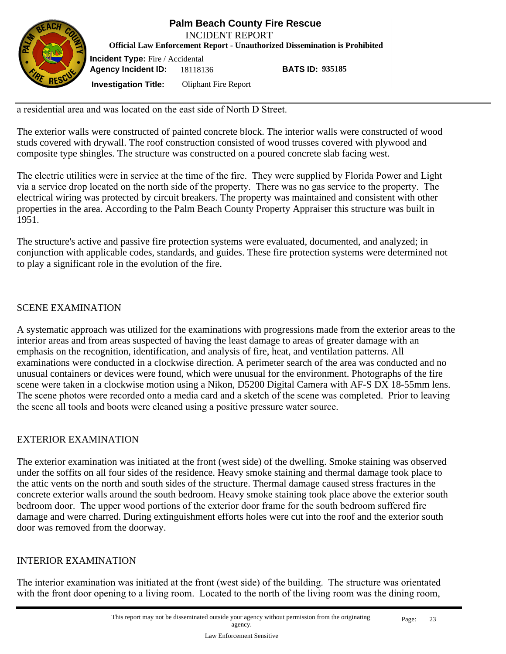

**Official Law Enforcement Report - Unauthorized Dissemination is Prohibited**

**Incident Type:** Fire / Accidental **Agency Incident ID:** 18118136

**BATS ID: 935185**

**Investigation Title:** Oliphant Fire Report

a residential area and was located on the east side of North D Street.

The exterior walls were constructed of painted concrete block. The interior walls were constructed of wood studs covered with drywall. The roof construction consisted of wood trusses covered with plywood and composite type shingles. The structure was constructed on a poured concrete slab facing west.

The electric utilities were in service at the time of the fire. They were supplied by Florida Power and Light via a service drop located on the north side of the property. There was no gas service to the property. The electrical wiring was protected by circuit breakers. The property was maintained and consistent with other properties in the area. According to the Palm Beach County Property Appraiser this structure was built in 1951.

The structure's active and passive fire protection systems were evaluated, documented, and analyzed; in conjunction with applicable codes, standards, and guides. These fire protection systems were determined not to play a significant role in the evolution of the fire.

### SCENE EXAMINATION

A systematic approach was utilized for the examinations with progressions made from the exterior areas to the interior areas and from areas suspected of having the least damage to areas of greater damage with an emphasis on the recognition, identification, and analysis of fire, heat, and ventilation patterns. All examinations were conducted in a clockwise direction. A perimeter search of the area was conducted and no unusual containers or devices were found, which were unusual for the environment. Photographs of the fire scene were taken in a clockwise motion using a Nikon, D5200 Digital Camera with AF-S DX 18-55mm lens. The scene photos were recorded onto a media card and a sketch of the scene was completed. Prior to leaving the scene all tools and boots were cleaned using a positive pressure water source.

### EXTERIOR EXAMINATION

The exterior examination was initiated at the front (west side) of the dwelling. Smoke staining was observed under the soffits on all four sides of the residence. Heavy smoke staining and thermal damage took place to the attic vents on the north and south sides of the structure. Thermal damage caused stress fractures in the concrete exterior walls around the south bedroom. Heavy smoke staining took place above the exterior south bedroom door. The upper wood portions of the exterior door frame for the south bedroom suffered fire damage and were charred. During extinguishment efforts holes were cut into the roof and the exterior south door was removed from the doorway.

# INTERIOR EXAMINATION

The interior examination was initiated at the front (west side) of the building. The structure was orientated with the front door opening to a living room. Located to the north of the living room was the dining room,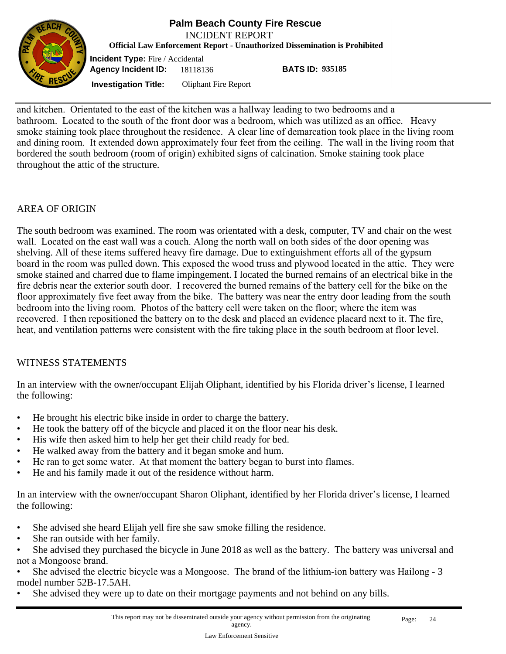

**Official Law Enforcement Report - Unauthorized Dissemination is Prohibited**

**Incident Type:** Fire / Accidental **Agency Incident ID:** 18118136

**BATS ID: 935185**

**Investigation Title:** Oliphant Fire Report

and kitchen. Orientated to the east of the kitchen was a hallway leading to two bedrooms and a bathroom. Located to the south of the front door was a bedroom, which was utilized as an office. Heavy smoke staining took place throughout the residence. A clear line of demarcation took place in the living room and dining room. It extended down approximately four feet from the ceiling. The wall in the living room that bordered the south bedroom (room of origin) exhibited signs of calcination. Smoke staining took place throughout the attic of the structure.

### AREA OF ORIGIN

The south bedroom was examined. The room was orientated with a desk, computer, TV and chair on the west wall. Located on the east wall was a couch. Along the north wall on both sides of the door opening was shelving. All of these items suffered heavy fire damage. Due to extinguishment efforts all of the gypsum board in the room was pulled down. This exposed the wood truss and plywood located in the attic. They were smoke stained and charred due to flame impingement. I located the burned remains of an electrical bike in the fire debris near the exterior south door. I recovered the burned remains of the battery cell for the bike on the floor approximately five feet away from the bike. The battery was near the entry door leading from the south bedroom into the living room. Photos of the battery cell were taken on the floor; where the item was recovered. I then repositioned the battery on to the desk and placed an evidence placard next to it. The fire, heat, and ventilation patterns were consistent with the fire taking place in the south bedroom at floor level.

#### WITNESS STATEMENTS

In an interview with the owner/occupant Elijah Oliphant, identified by his Florida driver's license, I learned the following:

- He brought his electric bike inside in order to charge the battery.
- He took the battery off of the bicycle and placed it on the floor near his desk.
- His wife then asked him to help her get their child ready for bed.
- He walked away from the battery and it began smoke and hum.
- He ran to get some water. At that moment the battery began to burst into flames.
- He and his family made it out of the residence without harm.

In an interview with the owner/occupant Sharon Oliphant, identified by her Florida driver's license, I learned the following:

- She advised she heard Elijah yell fire she saw smoke filling the residence.
- She ran outside with her family.
- She advised they purchased the bicycle in June 2018 as well as the battery. The battery was universal and not a Mongoose brand.
- She advised the electric bicycle was a Mongoose. The brand of the lithium-ion battery was Hailong 3 model number 52B-17.5AH.
- She advised they were up to date on their mortgage payments and not behind on any bills.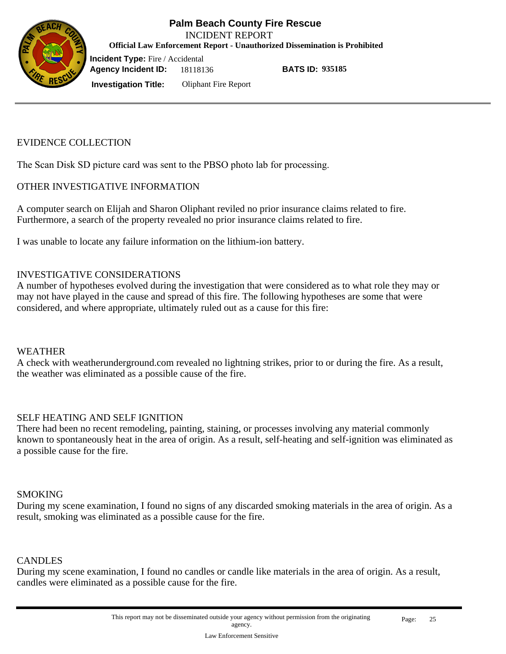

#### **Palm Beach County Fire Rescue Official Law Enforcement Report - Unauthorized Dissemination is Prohibited** INCIDENT REPORT

**BATS ID: 935185**

**Investigation Title:** Oliphant Fire Report

### EVIDENCE COLLECTION

The Scan Disk SD picture card was sent to the PBSO photo lab for processing.

#### OTHER INVESTIGATIVE INFORMATION

A computer search on Elijah and Sharon Oliphant reviled no prior insurance claims related to fire. Furthermore, a search of the property revealed no prior insurance claims related to fire.

I was unable to locate any failure information on the lithium-ion battery.

#### INVESTIGATIVE CONSIDERATIONS

A number of hypotheses evolved during the investigation that were considered as to what role they may or may not have played in the cause and spread of this fire. The following hypotheses are some that were considered, and where appropriate, ultimately ruled out as a cause for this fire:

#### WEATHER

A check with weatherunderground.com revealed no lightning strikes, prior to or during the fire. As a result, the weather was eliminated as a possible cause of the fire.

#### SELF HEATING AND SELF IGNITION

There had been no recent remodeling, painting, staining, or processes involving any material commonly known to spontaneously heat in the area of origin. As a result, self-heating and self-ignition was eliminated as a possible cause for the fire.

#### **SMOKING**

During my scene examination, I found no signs of any discarded smoking materials in the area of origin. As a result, smoking was eliminated as a possible cause for the fire.

#### CANDLES

During my scene examination, I found no candles or candle like materials in the area of origin. As a result, candles were eliminated as a possible cause for the fire.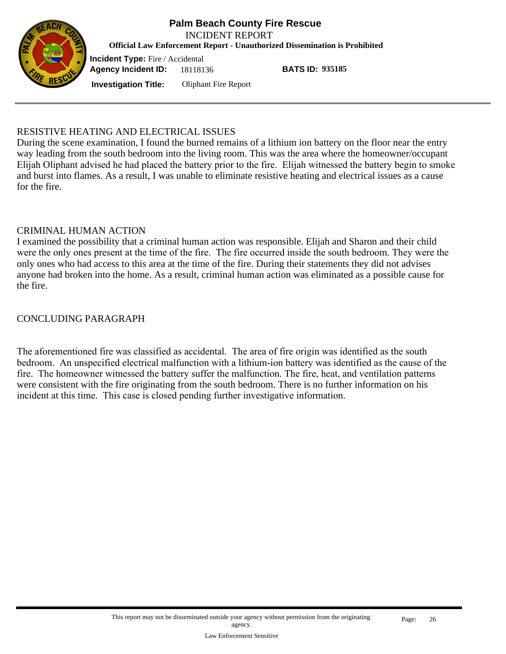

**Official Law Enforcement Report - Unauthorized Dissemination is Prohibited**

**Incident Type:** Fire / Accidental **Agency Incident ID:** 18118136

**BATS ID: 935185**

**Investigation Title:** Oliphant Fire Report

#### RESISTIVE HEATING AND ELECTRICAL ISSUES

During the scene examination, I found the burned remains of a lithium ion battery on the floor near the entry way leading from the south bedroom into the living room. This was the area where the homeowner/occupant Elijah Oliphant advised he had placed the battery prior to the fire. Elijah witnessed the battery begin to smoke and burst into flames. As a result, I was unable to eliminate resistive heating and electrical issues as a cause for the fire.

#### CRIMINAL HUMAN ACTION

I examined the possibility that a criminal human action was responsible. Elijah and Sharon and their child were the only ones present at the time of the fire. The fire occurred inside the south bedroom. They were the only ones who had access to this area at the time of the fire. During their statements they did not advises anyone had broken into the home. As a result, criminal human action was eliminated as a possible cause for the fire.

#### CONCLUDING PARAGRAPH

The aforementioned fire was classified as accidental. The area of fire origin was identified as the south bedroom. An unspecified electrical malfunction with a lithium-ion battery was identified as the cause of the fire. The homeowner witnessed the battery suffer the malfunction. The fire, heat, and ventilation patterns were consistent with the fire originating from the south bedroom. There is no further information on his incident at this time. This case is closed pending further investigative information.